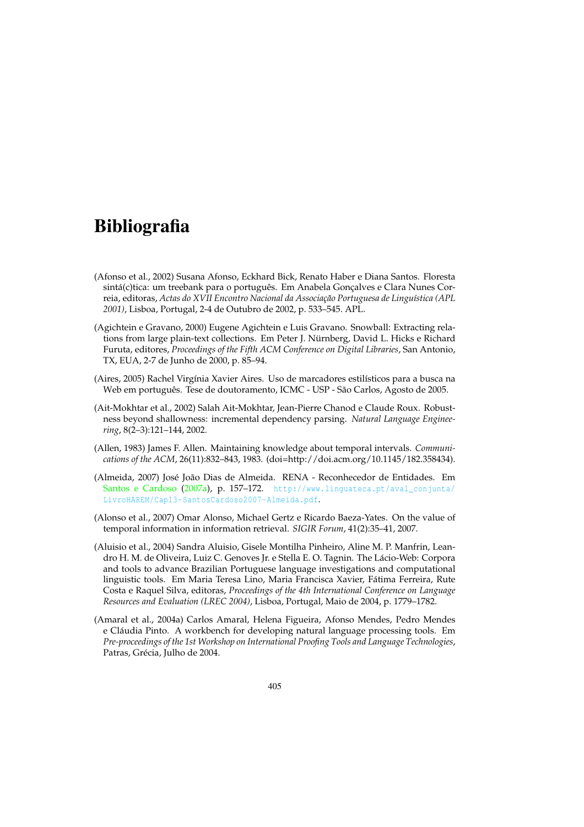## **Bibliografia**

- (Afonso et al., 2002) Susana Afonso, Eckhard Bick, Renato Haber e Diana Santos. Floresta sintá(c)tica: um treebank para o português. Em Anabela Gonçalves e Clara Nunes Correia, editoras, *Actas do XVII Encontro Nacional da Associação Portuguesa de Linguística (APL 2001)*, Lisboa, Portugal, 2-4 de Outubro de 2002, p. 533–545. APL.
- (Agichtein e Gravano, 2000) Eugene Agichtein e Luis Gravano. Snowball: Extracting relations from large plain-text collections. Em Peter J. Nürnberg, David L. Hicks e Richard Furuta, editores, *Proceedings of the Fifth ACM Conference on Digital Libraries*, San Antonio, TX, EUA, 2-7 de Junho de 2000, p. 85–94.
- (Aires, 2005) Rachel Virgínia Xavier Aires. Uso de marcadores estilísticos para a busca na Web em português. Tese de doutoramento, ICMC - USP - São Carlos, Agosto de 2005.
- (Ait-Mokhtar et al., 2002) Salah Ait-Mokhtar, Jean-Pierre Chanod e Claude Roux. Robustness beyond shallowness: incremental dependency parsing. *Natural Language Engineering*, 8(2–3):121–144, 2002.
- (Allen, 1983) James F. Allen. Maintaining knowledge about temporal intervals. *Communications of the ACM*, 26(11):832–843, 1983. (doi=http://doi.acm.org/10.1145/182.358434).
- (Almeida, 2007) José João Dias de Almeida. RENA Reconhecedor de Entidades. Em Santos e Cardoso (2007a), p. 157–172. http://www.linguateca.pt/aval\_conjunta/ LivroHAREM/Cap13-SantosCardoso2007-Almeida.pdf.
- (Alonso et al., 2007) Omar Alonso, Michael Gertz e Ricardo Baeza-Yates. On the value of temporal information in information retrieval. *SIGIR Forum*, 41(2):35–41, 2007.
- (Aluisio et al., 2004) Sandra Aluisio, Gisele Montilha Pinheiro, Aline M. P. Manfrin, Leandro H. M. de Oliveira, Luiz C. Genoves Jr. e Stella E. O. Tagnin. The Lácio-Web: Corpora and tools to advance Brazilian Portuguese language investigations and computational linguistic tools. Em Maria Teresa Lino, Maria Francisca Xavier, Fátima Ferreira, Rute Costa e Raquel Silva, editoras, *Proceedings of the 4th International Conference on Language Resources and Evaluation (LREC 2004)*, Lisboa, Portugal, Maio de 2004, p. 1779–1782.
- (Amaral et al., 2004a) Carlos Amaral, Helena Figueira, Afonso Mendes, Pedro Mendes e Cláudia Pinto. A workbench for developing natural language processing tools. Em *Pre-proceedings of the 1st Workshop on International Proofing Tools and Language Technologies*, Patras, Grécia, Julho de 2004.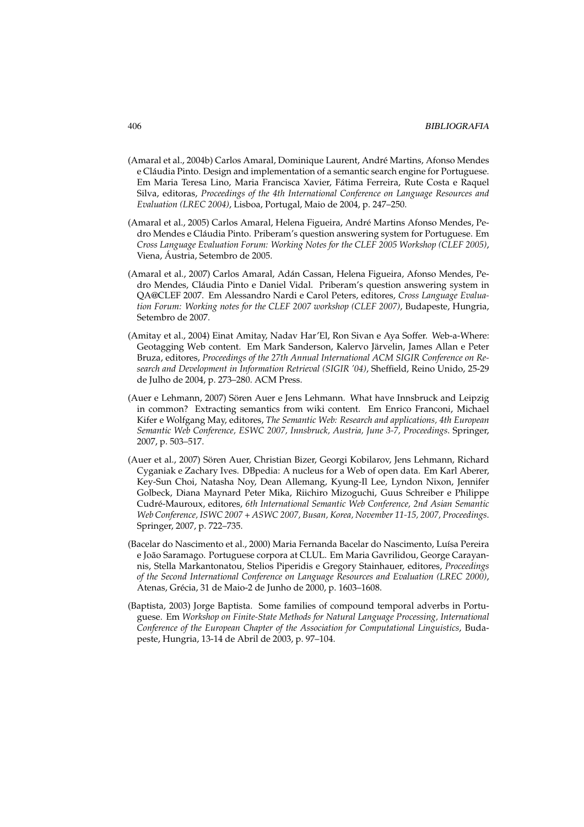- (Amaral et al., 2004b) Carlos Amaral, Dominique Laurent, André Martins, Afonso Mendes e Cláudia Pinto. Design and implementation of a semantic search engine for Portuguese. Em Maria Teresa Lino, Maria Francisca Xavier, Fátima Ferreira, Rute Costa e Raquel Silva, editoras, *Proceedings of the 4th International Conference on Language Resources and Evaluation (LREC 2004)*, Lisboa, Portugal, Maio de 2004, p. 247–250.
- (Amaral et al., 2005) Carlos Amaral, Helena Figueira, André Martins Afonso Mendes, Pedro Mendes e Cláudia Pinto. Priberam's question answering system for Portuguese. Em *Cross Language Evaluation Forum: Working Notes for the CLEF 2005 Workshop (CLEF 2005)*, Viena, Áustria, Setembro de 2005.
- (Amaral et al., 2007) Carlos Amaral, Adán Cassan, Helena Figueira, Afonso Mendes, Pedro Mendes, Cláudia Pinto e Daniel Vidal. Priberam's question answering system in QA@CLEF 2007. Em Alessandro Nardi e Carol Peters, editores, *Cross Language Evaluation Forum: Working notes for the CLEF 2007 workshop (CLEF 2007)*, Budapeste, Hungria, Setembro de 2007.
- (Amitay et al., 2004) Einat Amitay, Nadav Har'El, Ron Sivan e Aya Soffer. Web-a-Where: Geotagging Web content. Em Mark Sanderson, Kalervo Järvelin, James Allan e Peter Bruza, editores, *Proceedings of the 27th Annual International ACM SIGIR Conference on Research and Development in Information Retrieval (SIGIR '04)*, Sheffield, Reino Unido, 25-29 de Julho de 2004, p. 273–280. ACM Press.
- (Auer e Lehmann, 2007) Sören Auer e Jens Lehmann. What have Innsbruck and Leipzig in common? Extracting semantics from wiki content. Em Enrico Franconi, Michael Kifer e Wolfgang May, editores, *The Semantic Web: Research and applications, 4th European Semantic Web Conference, ESWC 2007, Innsbruck, Austria, June 3-7, Proceedings*. Springer, 2007, p. 503–517.
- (Auer et al., 2007) Sören Auer, Christian Bizer, Georgi Kobilarov, Jens Lehmann, Richard Cyganiak e Zachary Ives. DBpedia: A nucleus for a Web of open data. Em Karl Aberer, Key-Sun Choi, Natasha Noy, Dean Allemang, Kyung-Il Lee, Lyndon Nixon, Jennifer Golbeck, Diana Maynard Peter Mika, Riichiro Mizoguchi, Guus Schreiber e Philippe Cudré-Mauroux, editores, *6th International Semantic Web Conference, 2nd Asian Semantic Web Conference, ISWC 2007 + ASWC 2007, Busan, Korea, November 11-15, 2007, Proceedings*. Springer, 2007, p. 722–735.
- (Bacelar do Nascimento et al., 2000) Maria Fernanda Bacelar do Nascimento, Luísa Pereira e João Saramago. Portuguese corpora at CLUL. Em Maria Gavrilidou, George Carayannis, Stella Markantonatou, Stelios Piperidis e Gregory Stainhauer, editores, *Proceedings of the Second International Conference on Language Resources and Evaluation (LREC 2000)*, Atenas, Grécia, 31 de Maio-2 de Junho de 2000, p. 1603–1608.
- (Baptista, 2003) Jorge Baptista. Some families of compound temporal adverbs in Portuguese. Em *Workshop on Finite-State Methods for Natural Language Processing, International Conference of the European Chapter of the Association for Computational Linguistics*, Budapeste, Hungria, 13-14 de Abril de 2003, p. 97–104.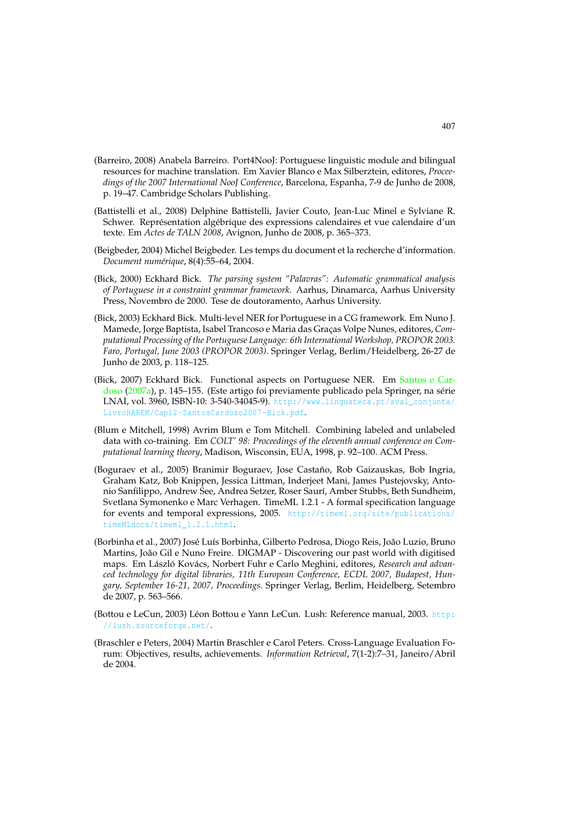- (Barreiro, 2008) Anabela Barreiro. Port4NooJ: Portuguese linguistic module and bilingual resources for machine translation. Em Xavier Blanco e Max Silberztein, editores, *Proceedings of the 2007 International NooJ Conference*, Barcelona, Espanha, 7-9 de Junho de 2008, p. 19–47. Cambridge Scholars Publishing.
- (Battistelli et al., 2008) Delphine Battistelli, Javier Couto, Jean-Luc Minel e Sylviane R. Schwer. Représentation algébrique des expressions calendaires et vue calendaire d'un texte. Em *Actes de TALN 2008*, Avignon, Junho de 2008, p. 365–373.
- (Beigbeder, 2004) Michel Beigbeder. Les temps du document et la recherche d'information. *Document numérique*, 8(4):55–64, 2004.
- (Bick, 2000) Eckhard Bick. *The parsing system "Palavras": Automatic grammatical analysis of Portuguese in a constraint grammar framework*. Aarhus, Dinamarca, Aarhus University Press, Novembro de 2000. Tese de doutoramento, Aarhus University.
- (Bick, 2003) Eckhard Bick. Multi-level NER for Portuguese in a CG framework. Em Nuno J. Mamede, Jorge Baptista, Isabel Trancoso e Maria das Graças Volpe Nunes, editores, *Computational Processing of the Portuguese Language: 6th International Workshop, PROPOR 2003. Faro, Portugal, June 2003 (PROPOR 2003)*. Springer Verlag, Berlim/Heidelberg, 26-27 de Junho de 2003, p. 118–125.
- (Bick, 2007) Eckhard Bick. Functional aspects on Portuguese NER. Em Santos e Cardoso (2007a), p. 145–155. (Este artigo foi previamente publicado pela Springer, na série LNAI, vol. 3960, ISBN-10: 3-540-34045-9). http://www.linguateca.pt/aval\_conjunta/ LivroHAREM/Cap12-SantosCardoso2007-Bick.pdf.
- (Blum e Mitchell, 1998) Avrim Blum e Tom Mitchell. Combining labeled and unlabeled data with co-training. Em *COLT' 98: Proceedings of the eleventh annual conference on Computational learning theory*, Madison, Wisconsin, EUA, 1998, p. 92–100. ACM Press.
- (Boguraev et al., 2005) Branimir Boguraev, Jose Castaño, Rob Gaizauskas, Bob Ingria, Graham Katz, Bob Knippen, Jessica Littman, Inderjeet Mani, James Pustejovsky, Antonio Sanfilippo, Andrew See, Andrea Setzer, Roser Saurí, Amber Stubbs, Beth Sundheim, Svetlana Symonenko e Marc Verhagen. TimeML 1.2.1 - A formal specification language for events and temporal expressions, 2005. http://timeml.org/site/publications/ timeMLdocs/timeml\_1.2.1.html.
- (Borbinha et al., 2007) José Luís Borbinha, Gilberto Pedrosa, Diogo Reis, João Luzio, Bruno Martins, João Gil e Nuno Freire. DIGMAP - Discovering our past world with digitised maps. Em László Kovács, Norbert Fuhr e Carlo Meghini, editores, *Research and advanced technology for digital libraries, 11th European Conference, ECDL 2007, Budapest, Hungary, September 16-21, 2007, Proceedings*. Springer Verlag, Berlim, Heidelberg, Setembro de 2007, p. 563–566.
- (Bottou e LeCun, 2003) Léon Bottou e Yann LeCun. Lush: Reference manual, 2003. http: //lush.sourceforge.net/.
- (Braschler e Peters, 2004) Martin Braschler e Carol Peters. Cross-Language Evaluation Forum: Objectives, results, achievements. *Information Retrieval*, 7(1-2):7–31, Janeiro/Abril de 2004.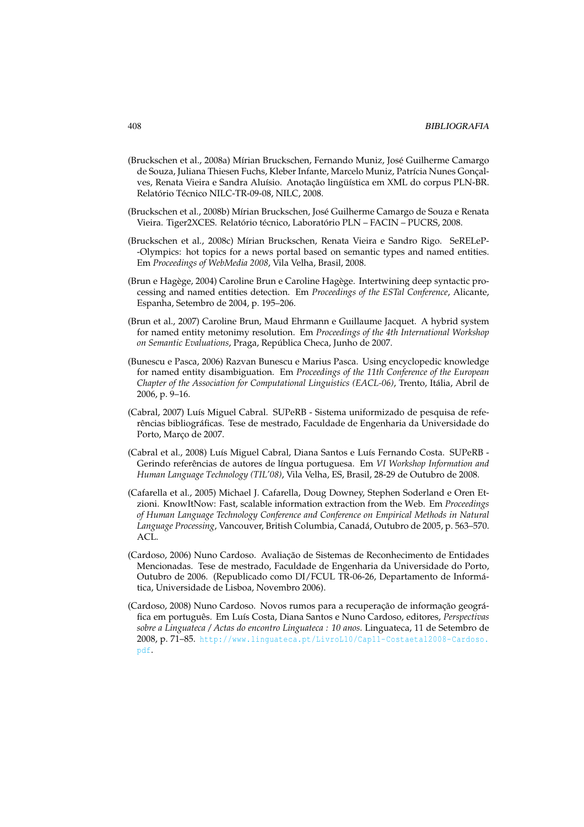- (Bruckschen et al., 2008a) Mírian Bruckschen, Fernando Muniz, José Guilherme Camargo de Souza, Juliana Thiesen Fuchs, Kleber Infante, Marcelo Muniz, Patrícia Nunes Gonçalves, Renata Vieira e Sandra Aluísio. Anotação lingüística em XML do corpus PLN-BR. Relatório Técnico NILC-TR-09-08, NILC, 2008.
- (Bruckschen et al., 2008b) Mírian Bruckschen, José Guilherme Camargo de Souza e Renata Vieira. Tiger2XCES. Relatório técnico, Laboratório PLN – FACIN – PUCRS, 2008.
- (Bruckschen et al., 2008c) Mírian Bruckschen, Renata Vieira e Sandro Rigo. SeRELeP- -Olympics: hot topics for a news portal based on semantic types and named entities. Em *Proceedings of WebMedia 2008*, Vila Velha, Brasil, 2008.
- (Brun e Hagège, 2004) Caroline Brun e Caroline Hagège. Intertwining deep syntactic processing and named entities detection. Em *Proceedings of the ESTal Conference*, Alicante, Espanha, Setembro de 2004, p. 195–206.
- (Brun et al., 2007) Caroline Brun, Maud Ehrmann e Guillaume Jacquet. A hybrid system for named entity metonimy resolution. Em *Proceedings of the 4th International Workshop on Semantic Evaluations*, Praga, República Checa, Junho de 2007.
- (Bunescu e Pasca, 2006) Razvan Bunescu e Marius Pasca. Using encyclopedic knowledge for named entity disambiguation. Em *Proceedings of the 11th Conference of the European Chapter of the Association for Computational Linguistics (EACL-06)*, Trento, Itália, Abril de 2006, p. 9–16.
- (Cabral, 2007) Luís Miguel Cabral. SUPeRB Sistema uniformizado de pesquisa de referências bibliográficas. Tese de mestrado, Faculdade de Engenharia da Universidade do Porto, Março de 2007.
- (Cabral et al., 2008) Luís Miguel Cabral, Diana Santos e Luís Fernando Costa. SUPeRB Gerindo referências de autores de língua portuguesa. Em *VI Workshop Information and Human Language Technology (TIL'08)*, Vila Velha, ES, Brasil, 28-29 de Outubro de 2008.
- (Cafarella et al., 2005) Michael J. Cafarella, Doug Downey, Stephen Soderland e Oren Etzioni. KnowItNow: Fast, scalable information extraction from the Web. Em *Proceedings of Human Language Technology Conference and Conference on Empirical Methods in Natural Language Processing*, Vancouver, British Columbia, Canadá, Outubro de 2005, p. 563–570. ACL.
- (Cardoso, 2006) Nuno Cardoso. Avaliação de Sistemas de Reconhecimento de Entidades Mencionadas. Tese de mestrado, Faculdade de Engenharia da Universidade do Porto, Outubro de 2006. (Republicado como DI/FCUL TR-06-26, Departamento de Informática, Universidade de Lisboa, Novembro 2006).
- (Cardoso, 2008) Nuno Cardoso. Novos rumos para a recuperação de informação geográfica em português. Em Luís Costa, Diana Santos e Nuno Cardoso, editores, *Perspectivas sobre a Linguateca / Actas do encontro Linguateca : 10 anos*. Linguateca, 11 de Setembro de 2008, p. 71–85. http://www.linguateca.pt/LivroL10/Cap11-Costaetal2008-Cardoso. pdf.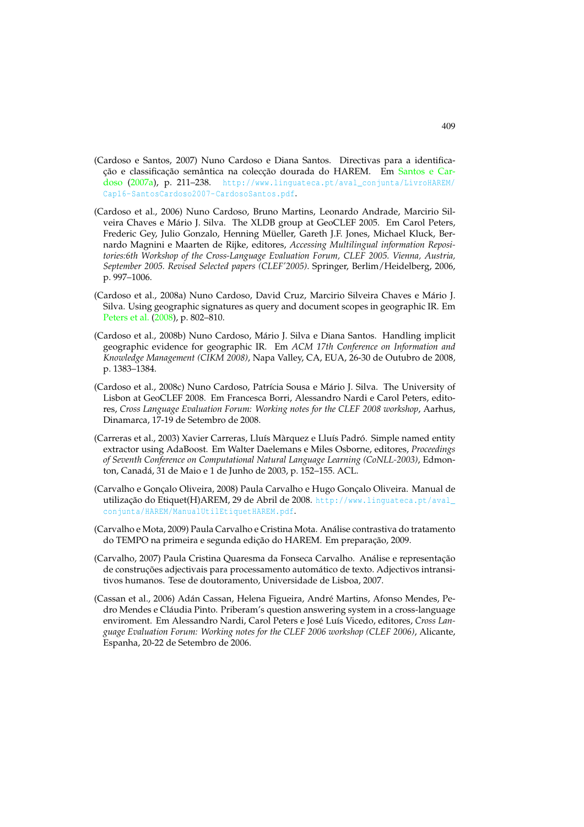- (Cardoso e Santos, 2007) Nuno Cardoso e Diana Santos. Directivas para a identificação e classificação semântica na colecção dourada do HAREM. Em Santos e Cardoso (2007a), p. 211-238. http://www.linguateca.pt/aval\_conjunta/LivroHAREM/ Cap16-SantosCardoso2007-CardosoSantos.pdf.
- (Cardoso et al., 2006) Nuno Cardoso, Bruno Martins, Leonardo Andrade, Marcirio Silveira Chaves e Mário J. Silva. The XLDB group at GeoCLEF 2005. Em Carol Peters, Frederic Gey, Julio Gonzalo, Henning Müeller, Gareth J.F. Jones, Michael Kluck, Bernardo Magnini e Maarten de Rijke, editores, *Accessing Multilingual information Repositories:6th Workshop of the Cross-Language Evaluation Forum, CLEF 2005. Vienna, Austria, September 2005. Revised Selected papers (CLEF'2005)*. Springer, Berlim/Heidelberg, 2006, p. 997–1006.
- (Cardoso et al., 2008a) Nuno Cardoso, David Cruz, Marcirio Silveira Chaves e Mário J. Silva. Using geographic signatures as query and document scopes in geographic IR. Em Peters et al. (2008), p. 802–810.
- (Cardoso et al., 2008b) Nuno Cardoso, Mário J. Silva e Diana Santos. Handling implicit geographic evidence for geographic IR. Em *ACM 17th Conference on Information and Knowledge Management (CIKM 2008)*, Napa Valley, CA, EUA, 26-30 de Outubro de 2008, p. 1383–1384.
- (Cardoso et al., 2008c) Nuno Cardoso, Patrícia Sousa e Mário J. Silva. The University of Lisbon at GeoCLEF 2008. Em Francesca Borri, Alessandro Nardi e Carol Peters, editores, *Cross Language Evaluation Forum: Working notes for the CLEF 2008 workshop*, Aarhus, Dinamarca, 17-19 de Setembro de 2008.
- (Carreras et al., 2003) Xavier Carreras, Lluís Màrquez e Lluís Padró. Simple named entity extractor using AdaBoost. Em Walter Daelemans e Miles Osborne, editores, *Proceedings of Seventh Conference on Computational Natural Language Learning (CoNLL-2003)*, Edmonton, Canadá, 31 de Maio e 1 de Junho de 2003, p. 152–155. ACL.
- (Carvalho e Gonçalo Oliveira, 2008) Paula Carvalho e Hugo Gonçalo Oliveira. Manual de utilização do Etiquet(H)AREM, 29 de Abril de 2008. http://www.linguateca.pt/aval\_ conjunta/HAREM/ManualUtilEtiquetHAREM.pdf.
- (Carvalho e Mota, 2009) Paula Carvalho e Cristina Mota. Análise contrastiva do tratamento do TEMPO na primeira e segunda edição do HAREM. Em preparação, 2009.
- (Carvalho, 2007) Paula Cristina Quaresma da Fonseca Carvalho. Análise e representação de construções adjectivais para processamento automático de texto. Adjectivos intransitivos humanos. Tese de doutoramento, Universidade de Lisboa, 2007.
- (Cassan et al., 2006) Adán Cassan, Helena Figueira, André Martins, Afonso Mendes, Pedro Mendes e Cláudia Pinto. Priberam's question answering system in a cross-language enviroment. Em Alessandro Nardi, Carol Peters e José Luís Vicedo, editores, *Cross Language Evaluation Forum: Working notes for the CLEF 2006 workshop (CLEF 2006)*, Alicante, Espanha, 20-22 de Setembro de 2006.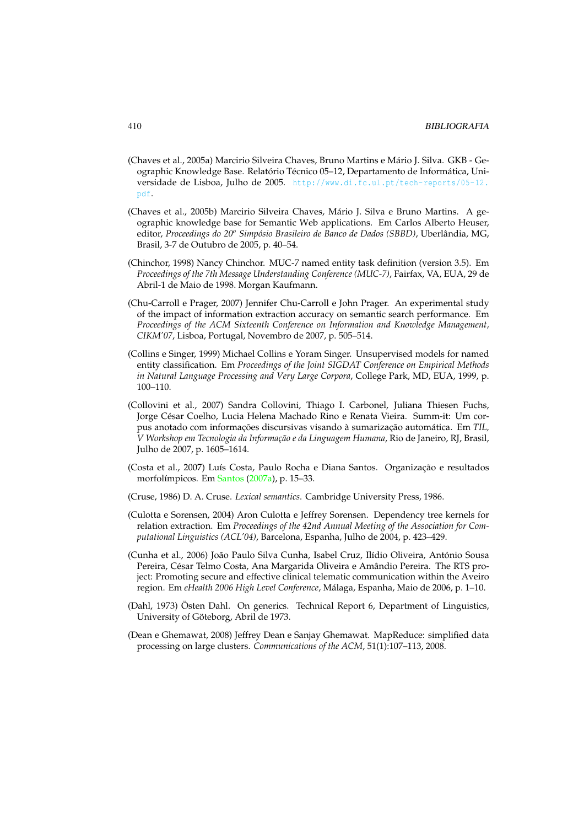- (Chaves et al., 2005a) Marcirio Silveira Chaves, Bruno Martins e Mário J. Silva. GKB Geographic Knowledge Base. Relatório Técnico 05–12, Departamento de Informática, Universidade de Lisboa, Julho de 2005. http://www.di.fc.ul.pt/tech-reports/05-12. pdf.
- (Chaves et al., 2005b) Marcirio Silveira Chaves, Mário J. Silva e Bruno Martins. A geographic knowledge base for Semantic Web applications. Em Carlos Alberto Heuser, editor, *Proceedings do 20o Simpósio Brasileiro de Banco de Dados (SBBD)*, Uberlândia, MG, Brasil, 3-7 de Outubro de 2005, p. 40–54.
- (Chinchor, 1998) Nancy Chinchor. MUC-7 named entity task definition (version 3.5). Em *Proceedings of the 7th Message Understanding Conference (MUC-7)*, Fairfax, VA, EUA, 29 de Abril-1 de Maio de 1998. Morgan Kaufmann.
- (Chu-Carroll e Prager, 2007) Jennifer Chu-Carroll e John Prager. An experimental study of the impact of information extraction accuracy on semantic search performance. Em *Proceedings of the ACM Sixteenth Conference on Information and Knowledge Management, CIKM'07*, Lisboa, Portugal, Novembro de 2007, p. 505–514.
- (Collins e Singer, 1999) Michael Collins e Yoram Singer. Unsupervised models for named entity classification. Em *Proceedings of the Joint SIGDAT Conference on Empirical Methods in Natural Language Processing and Very Large Corpora*, College Park, MD, EUA, 1999, p. 100–110.
- (Collovini et al., 2007) Sandra Collovini, Thiago I. Carbonel, Juliana Thiesen Fuchs, Jorge César Coelho, Lucia Helena Machado Rino e Renata Vieira. Summ-it: Um corpus anotado com informações discursivas visando à sumarização automática. Em *TIL, V Workshop em Tecnologia da Informação e da Linguagem Humana*, Rio de Janeiro, RJ, Brasil, Julho de 2007, p. 1605–1614.
- (Costa et al., 2007) Luís Costa, Paulo Rocha e Diana Santos. Organização e resultados morfolímpicos. Em Santos (2007a), p. 15–33.
- (Cruse, 1986) D. A. Cruse. *Lexical semantics*. Cambridge University Press, 1986.
- (Culotta e Sorensen, 2004) Aron Culotta e Jeffrey Sorensen. Dependency tree kernels for relation extraction. Em *Proceedings of the 42nd Annual Meeting of the Association for Computational Linguistics (ACL'04)*, Barcelona, Espanha, Julho de 2004, p. 423–429.
- (Cunha et al., 2006) João Paulo Silva Cunha, Isabel Cruz, Ilídio Oliveira, António Sousa Pereira, César Telmo Costa, Ana Margarida Oliveira e Amândio Pereira. The RTS project: Promoting secure and effective clinical telematic communication within the Aveiro region. Em *eHealth 2006 High Level Conference*, Málaga, Espanha, Maio de 2006, p. 1–10.
- (Dahl, 1973) Östen Dahl. On generics. Technical Report 6, Department of Linguistics, University of Göteborg, Abril de 1973.
- (Dean e Ghemawat, 2008) Jeffrey Dean e Sanjay Ghemawat. MapReduce: simplified data processing on large clusters. *Communications of the ACM*, 51(1):107–113, 2008.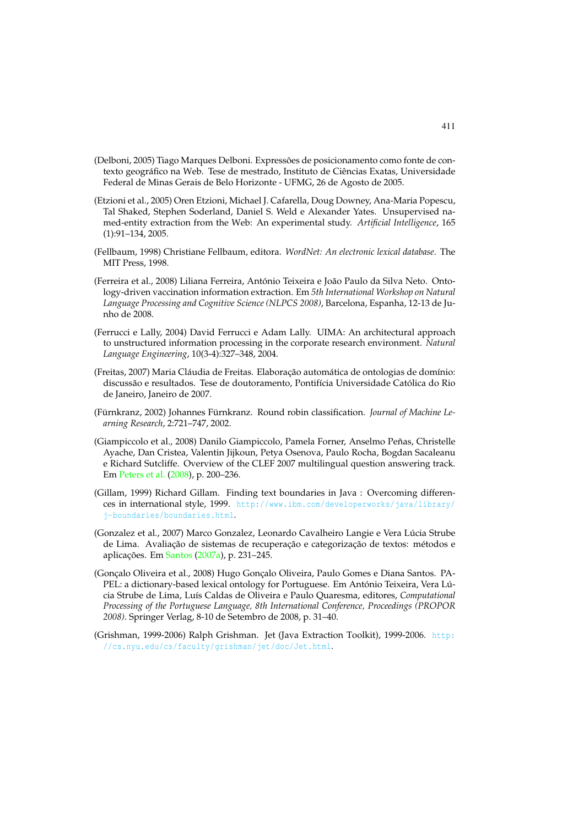- (Delboni, 2005) Tiago Marques Delboni. Expressões de posicionamento como fonte de contexto geográfico na Web. Tese de mestrado, Instituto de Ciências Exatas, Universidade Federal de Minas Gerais de Belo Horizonte - UFMG, 26 de Agosto de 2005.
- (Etzioni et al., 2005) Oren Etzioni, Michael J. Cafarella, Doug Downey, Ana-Maria Popescu, Tal Shaked, Stephen Soderland, Daniel S. Weld e Alexander Yates. Unsupervised named-entity extraction from the Web: An experimental study. *Artificial Intelligence*, 165 (1):91–134, 2005.
- (Fellbaum, 1998) Christiane Fellbaum, editora. *WordNet: An electronic lexical database*. The MIT Press, 1998.
- (Ferreira et al., 2008) Liliana Ferreira, António Teixeira e João Paulo da Silva Neto. Ontology-driven vaccination information extraction. Em *5th International Workshop on Natural Language Processing and Cognitive Science (NLPCS 2008)*, Barcelona, Espanha, 12-13 de Junho de 2008.
- (Ferrucci e Lally, 2004) David Ferrucci e Adam Lally. UIMA: An architectural approach to unstructured information processing in the corporate research environment. *Natural Language Engineering*, 10(3-4):327–348, 2004.
- (Freitas, 2007) Maria Cláudia de Freitas. Elaboração automática de ontologias de domínio: discussão e resultados. Tese de doutoramento, Pontifícia Universidade Católica do Rio de Janeiro, Janeiro de 2007.
- (Fürnkranz, 2002) Johannes Fürnkranz. Round robin classification. *Journal of Machine Learning Research*, 2:721–747, 2002.
- (Giampiccolo et al., 2008) Danilo Giampiccolo, Pamela Forner, Anselmo Peñas, Christelle Ayache, Dan Cristea, Valentin Jijkoun, Petya Osenova, Paulo Rocha, Bogdan Sacaleanu e Richard Sutcliffe. Overview of the CLEF 2007 multilingual question answering track. Em Peters et al. (2008), p. 200–236.
- (Gillam, 1999) Richard Gillam. Finding text boundaries in Java : Overcoming differences in international style, 1999. http://www.ibm.com/developerworks/java/library/ j-boundaries/boundaries.html.
- (Gonzalez et al., 2007) Marco Gonzalez, Leonardo Cavalheiro Langie e Vera Lúcia Strube de Lima. Avaliação de sistemas de recuperação e categorização de textos: métodos e aplicações. Em Santos (2007a), p. 231–245.
- (Gonçalo Oliveira et al., 2008) Hugo Gonçalo Oliveira, Paulo Gomes e Diana Santos. PA-PEL: a dictionary-based lexical ontology for Portuguese. Em António Teixeira, Vera Lúcia Strube de Lima, Luís Caldas de Oliveira e Paulo Quaresma, editores, *Computational Processing of the Portuguese Language, 8th International Conference, Proceedings (PROPOR 2008)*. Springer Verlag, 8-10 de Setembro de 2008, p. 31–40.
- (Grishman, 1999-2006) Ralph Grishman. Jet (Java Extraction Toolkit), 1999-2006. http: //cs.nyu.edu/cs/faculty/grishman/jet/doc/Jet.html.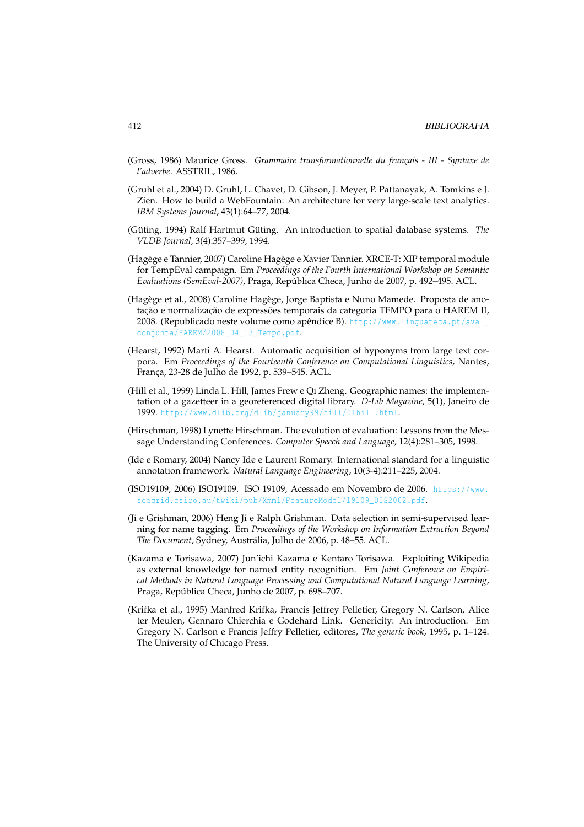- (Gross, 1986) Maurice Gross. *Grammaire transformationnelle du français III Syntaxe de l'adverbe*. ASSTRIL, 1986.
- (Gruhl et al., 2004) D. Gruhl, L. Chavet, D. Gibson, J. Meyer, P. Pattanayak, A. Tomkins e J. Zien. How to build a WebFountain: An architecture for very large-scale text analytics. *IBM Systems Journal*, 43(1):64–77, 2004.
- (Güting, 1994) Ralf Hartmut Güting. An introduction to spatial database systems. *The VLDB Journal*, 3(4):357–399, 1994.
- (Hagège e Tannier, 2007) Caroline Hagège e Xavier Tannier. XRCE-T: XIP temporal module for TempEval campaign. Em *Proceedings of the Fourth International Workshop on Semantic Evaluations (SemEval-2007)*, Praga, República Checa, Junho de 2007, p. 492–495. ACL.
- (Hagège et al., 2008) Caroline Hagège, Jorge Baptista e Nuno Mamede. Proposta de anotação e normalização de expressões temporais da categoria TEMPO para o HAREM II, 2008. (Republicado neste volume como apêndice B). http://www.linguateca.pt/aval\_ conjunta/HAREM/2008\_04\_13\_Tempo.pdf.
- (Hearst, 1992) Marti A. Hearst. Automatic acquisition of hyponyms from large text corpora. Em *Proceedings of the Fourteenth Conference on Computational Linguistics*, Nantes, França, 23-28 de Julho de 1992, p. 539–545. ACL.
- (Hill et al., 1999) Linda L. Hill, James Frew e Qi Zheng. Geographic names: the implementation of a gazetteer in a georeferenced digital library. *D-Lib Magazine*, 5(1), Janeiro de 1999. http://www.dlib.org/dlib/january99/hill/01hill.html.
- (Hirschman, 1998) Lynette Hirschman. The evolution of evaluation: Lessons from the Message Understanding Conferences. *Computer Speech and Language*, 12(4):281–305, 1998.
- (Ide e Romary, 2004) Nancy Ide e Laurent Romary. International standard for a linguistic annotation framework. *Natural Language Engineering*, 10(3-4):211–225, 2004.
- (ISO19109, 2006) ISO19109. ISO 19109, Acessado em Novembro de 2006. https://www. seegrid.csiro.au/twiki/pub/Xmml/FeatureModel/19109\_DIS2002.pdf.
- (Ji e Grishman, 2006) Heng Ji e Ralph Grishman. Data selection in semi-supervised learning for name tagging. Em *Proceedings of the Workshop on Information Extraction Beyond The Document*, Sydney, Austrália, Julho de 2006, p. 48–55. ACL.
- (Kazama e Torisawa, 2007) Jun'ichi Kazama e Kentaro Torisawa. Exploiting Wikipedia as external knowledge for named entity recognition. Em *Joint Conference on Empirical Methods in Natural Language Processing and Computational Natural Language Learning*, Praga, República Checa, Junho de 2007, p. 698–707.
- (Krifka et al., 1995) Manfred Krifka, Francis Jeffrey Pelletier, Gregory N. Carlson, Alice ter Meulen, Gennaro Chierchia e Godehard Link. Genericity: An introduction. Em Gregory N. Carlson e Francis Jeffry Pelletier, editores, *The generic book*, 1995, p. 1–124. The University of Chicago Press.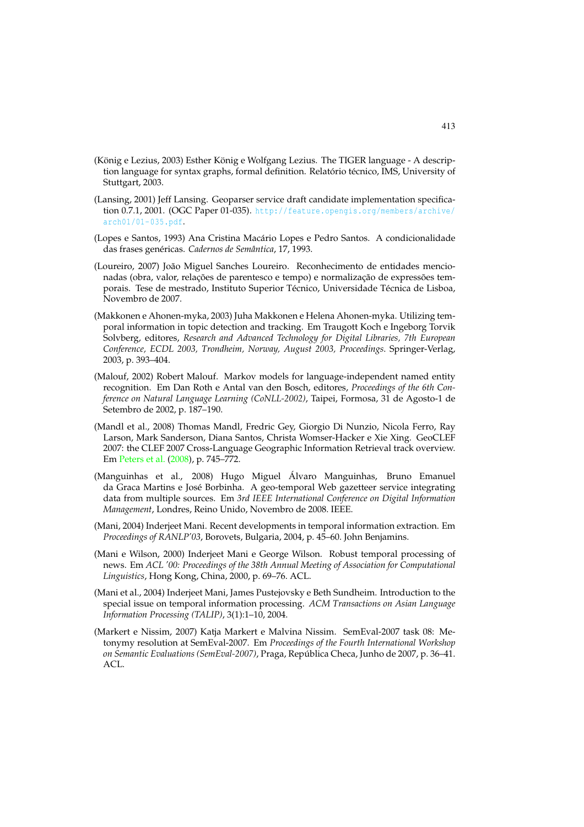- (König e Lezius, 2003) Esther König e Wolfgang Lezius. The TIGER language A description language for syntax graphs, formal definition. Relatório técnico, IMS, University of Stuttgart, 2003.
- (Lansing, 2001) Jeff Lansing. Geoparser service draft candidate implementation specification 0.7.1, 2001. (OGC Paper 01-035). http://feature.opengis.org/members/archive/ arch01/01-035.pdf.
- (Lopes e Santos, 1993) Ana Cristina Macário Lopes e Pedro Santos. A condicionalidade das frases genéricas. *Cadernos de Semântica*, 17, 1993.
- (Loureiro, 2007) João Miguel Sanches Loureiro. Reconhecimento de entidades mencionadas (obra, valor, relações de parentesco e tempo) e normalização de expressões temporais. Tese de mestrado, Instituto Superior Técnico, Universidade Técnica de Lisboa, Novembro de 2007.
- (Makkonen e Ahonen-myka, 2003) Juha Makkonen e Helena Ahonen-myka. Utilizing temporal information in topic detection and tracking. Em Traugott Koch e Ingeborg Torvik Solvberg, editores, *Research and Advanced Technology for Digital Libraries, 7th European Conference, ECDL 2003, Trondheim, Norway, August 2003, Proceedings*. Springer-Verlag, 2003, p. 393–404.
- (Malouf, 2002) Robert Malouf. Markov models for language-independent named entity recognition. Em Dan Roth e Antal van den Bosch, editores, *Proceedings of the 6th Conference on Natural Language Learning (CoNLL-2002)*, Taipei, Formosa, 31 de Agosto-1 de Setembro de 2002, p. 187–190.
- (Mandl et al., 2008) Thomas Mandl, Fredric Gey, Giorgio Di Nunzio, Nicola Ferro, Ray Larson, Mark Sanderson, Diana Santos, Christa Womser-Hacker e Xie Xing. GeoCLEF 2007: the CLEF 2007 Cross-Language Geographic Information Retrieval track overview. Em Peters et al. (2008), p. 745–772.
- (Manguinhas et al., 2008) Hugo Miguel Álvaro Manguinhas, Bruno Emanuel da Graca Martins e José Borbinha. A geo-temporal Web gazetteer service integrating data from multiple sources. Em *3rd IEEE International Conference on Digital Information Management*, Londres, Reino Unido, Novembro de 2008. IEEE.
- (Mani, 2004) Inderjeet Mani. Recent developments in temporal information extraction. Em *Proceedings of RANLP'03*, Borovets, Bulgaria, 2004, p. 45–60. John Benjamins.
- (Mani e Wilson, 2000) Inderjeet Mani e George Wilson. Robust temporal processing of news. Em *ACL '00: Proceedings of the 38th Annual Meeting of Association for Computational Linguistics*, Hong Kong, China, 2000, p. 69–76. ACL.
- (Mani et al., 2004) Inderjeet Mani, James Pustejovsky e Beth Sundheim. Introduction to the special issue on temporal information processing. *ACM Transactions on Asian Language Information Processing (TALIP)*, 3(1):1–10, 2004.
- (Markert e Nissim, 2007) Katja Markert e Malvina Nissim. SemEval-2007 task 08: Metonymy resolution at SemEval-2007. Em *Proceedings of the Fourth International Workshop on Semantic Evaluations (SemEval-2007)*, Praga, República Checa, Junho de 2007, p. 36–41. ACL.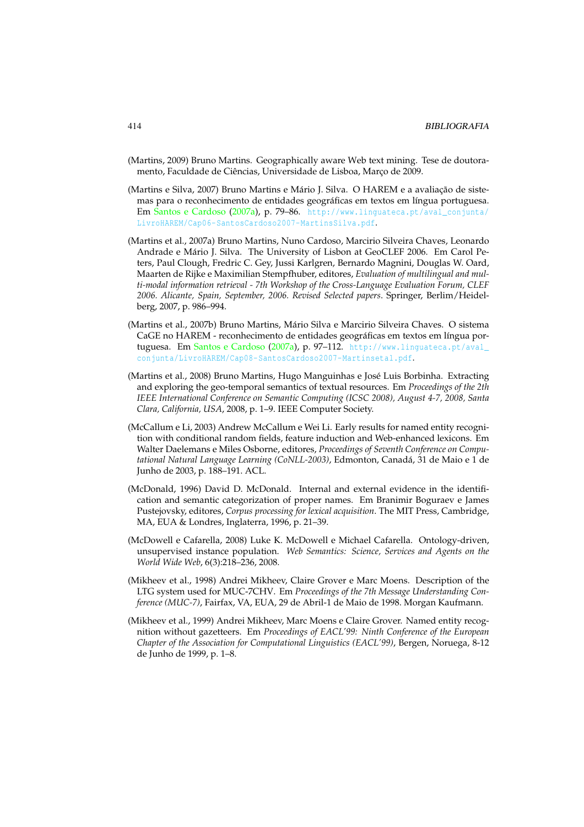- (Martins, 2009) Bruno Martins. Geographically aware Web text mining. Tese de doutoramento, Faculdade de Ciências, Universidade de Lisboa, Março de 2009.
- (Martins e Silva, 2007) Bruno Martins e Mário J. Silva. O HAREM e a avaliação de sistemas para o reconhecimento de entidades geográficas em textos em língua portuguesa. Em Santos e Cardoso (2007a), p. 79–86. http://www.linguateca.pt/aval\_conjunta/ LivroHAREM/Cap06-SantosCardoso2007-MartinsSilva.pdf.
- (Martins et al., 2007a) Bruno Martins, Nuno Cardoso, Marcirio Silveira Chaves, Leonardo Andrade e Mário J. Silva. The University of Lisbon at GeoCLEF 2006. Em Carol Peters, Paul Clough, Fredric C. Gey, Jussi Karlgren, Bernardo Magnini, Douglas W. Oard, Maarten de Rijke e Maximilian Stempfhuber, editores, *Evaluation of multilingual and multi-modal information retrieval - 7th Workshop of the Cross-Language Evaluation Forum, CLEF 2006. Alicante, Spain, September, 2006. Revised Selected papers*. Springer, Berlim/Heidelberg, 2007, p. 986–994.
- (Martins et al., 2007b) Bruno Martins, Mário Silva e Marcirio Silveira Chaves. O sistema CaGE no HAREM - reconhecimento de entidades geográficas em textos em língua portuguesa. Em Santos e Cardoso (2007a), p. 97–112. http://www.linguateca.pt/aval\_ conjunta/LivroHAREM/Cap08-SantosCardoso2007-Martinsetal.pdf.
- (Martins et al., 2008) Bruno Martins, Hugo Manguinhas e José Luis Borbinha. Extracting and exploring the geo-temporal semantics of textual resources. Em *Proceedings of the 2th IEEE International Conference on Semantic Computing (ICSC 2008), August 4-7, 2008, Santa Clara, California, USA*, 2008, p. 1–9. IEEE Computer Society.
- (McCallum e Li, 2003) Andrew McCallum e Wei Li. Early results for named entity recognition with conditional random fields, feature induction and Web-enhanced lexicons. Em Walter Daelemans e Miles Osborne, editores, *Proceedings of Seventh Conference on Computational Natural Language Learning (CoNLL-2003)*, Edmonton, Canadá, 31 de Maio e 1 de Junho de 2003, p. 188–191. ACL.
- (McDonald, 1996) David D. McDonald. Internal and external evidence in the identification and semantic categorization of proper names. Em Branimir Boguraev e James Pustejovsky, editores, *Corpus processing for lexical acquisition*. The MIT Press, Cambridge, MA, EUA & Londres, Inglaterra, 1996, p. 21–39.
- (McDowell e Cafarella, 2008) Luke K. McDowell e Michael Cafarella. Ontology-driven, unsupervised instance population. *Web Semantics: Science, Services and Agents on the World Wide Web*, 6(3):218–236, 2008.
- (Mikheev et al., 1998) Andrei Mikheev, Claire Grover e Marc Moens. Description of the LTG system used for MUC-7CHV. Em *Proceedings of the 7th Message Understanding Conference (MUC-7)*, Fairfax, VA, EUA, 29 de Abril-1 de Maio de 1998. Morgan Kaufmann.
- (Mikheev et al., 1999) Andrei Mikheev, Marc Moens e Claire Grover. Named entity recognition without gazetteers. Em *Proceedings of EACL'99: Ninth Conference of the European Chapter of the Association for Computational Linguistics (EACL'99)*, Bergen, Noruega, 8-12 de Junho de 1999, p. 1–8.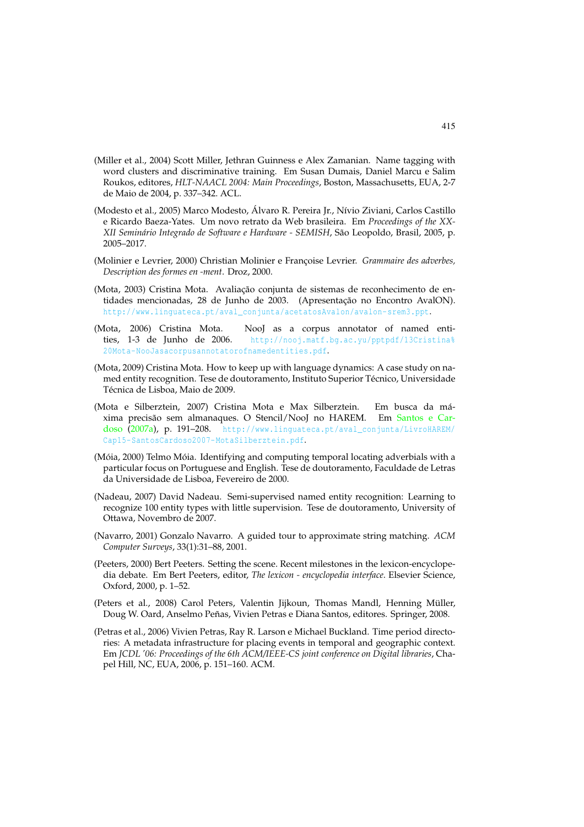- (Miller et al., 2004) Scott Miller, Jethran Guinness e Alex Zamanian. Name tagging with word clusters and discriminative training. Em Susan Dumais, Daniel Marcu e Salim Roukos, editores, *HLT-NAACL 2004: Main Proceedings*, Boston, Massachusetts, EUA, 2-7 de Maio de 2004, p. 337–342. ACL.
- (Modesto et al., 2005) Marco Modesto, Álvaro R. Pereira Jr., Nívio Ziviani, Carlos Castillo e Ricardo Baeza-Yates. Um novo retrato da Web brasileira. Em *Proceedings of the XX-XII Seminário Integrado de Software e Hardware - SEMISH*, São Leopoldo, Brasil, 2005, p. 2005–2017.
- (Molinier e Levrier, 2000) Christian Molinier e Françoise Levrier. *Grammaire des adverbes, Description des formes en -ment*. Droz, 2000.
- (Mota, 2003) Cristina Mota. Avaliação conjunta de sistemas de reconhecimento de entidades mencionadas, 28 de Junho de 2003. (Apresentação no Encontro AvalON). http://www.linguateca.pt/aval\_conjunta/acetatosAvalon/avalon-srem3.ppt.
- (Mota, 2006) Cristina Mota. NooJ as a corpus annotator of named entities, 1-3 de Junho de 2006. http://nooj.matf.bg.ac.yu/pptpdf/13Cristina% 20Mota-NooJasacorpusannotatorofnamedentities.pdf.
- (Mota, 2009) Cristina Mota. How to keep up with language dynamics: A case study on named entity recognition. Tese de doutoramento, Instituto Superior Técnico, Universidade Técnica de Lisboa, Maio de 2009.
- (Mota e Silberztein, 2007) Cristina Mota e Max Silberztein. Em busca da máxima precisão sem almanaques. O Stencil/NooJ no HAREM. Em Santos e Cardoso (2007a), p. 191-208. http://www.linguateca.pt/aval\_conjunta/LivroHAREM/ Cap15-SantosCardoso2007-MotaSilberztein.pdf.
- (Móia, 2000) Telmo Móia. Identifying and computing temporal locating adverbials with a particular focus on Portuguese and English. Tese de doutoramento, Faculdade de Letras da Universidade de Lisboa, Fevereiro de 2000.
- (Nadeau, 2007) David Nadeau. Semi-supervised named entity recognition: Learning to recognize 100 entity types with little supervision. Tese de doutoramento, University of Ottawa, Novembro de 2007.
- (Navarro, 2001) Gonzalo Navarro. A guided tour to approximate string matching. *ACM Computer Surveys*, 33(1):31–88, 2001.
- (Peeters, 2000) Bert Peeters. Setting the scene. Recent milestones in the lexicon-encyclopedia debate. Em Bert Peeters, editor, *The lexicon - encyclopedia interface*. Elsevier Science, Oxford, 2000, p. 1–52.
- (Peters et al., 2008) Carol Peters, Valentin Jijkoun, Thomas Mandl, Henning Müller, Doug W. Oard, Anselmo Peñas, Vivien Petras e Diana Santos, editores. Springer, 2008.
- (Petras et al., 2006) Vivien Petras, Ray R. Larson e Michael Buckland. Time period directories: A metadata infrastructure for placing events in temporal and geographic context. Em *JCDL '06: Proceedings of the 6th ACM/IEEE-CS joint conference on Digital libraries*, Chapel Hill, NC, EUA, 2006, p. 151–160. ACM.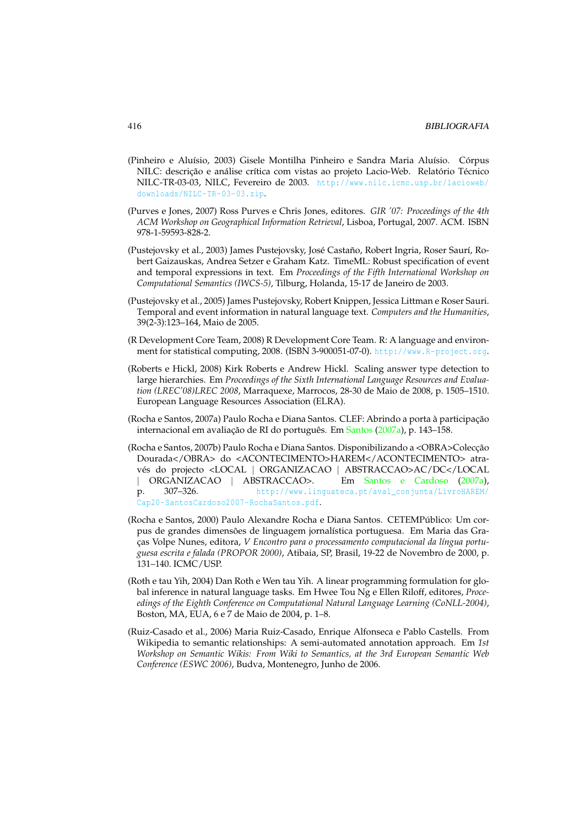- (Pinheiro e Aluísio, 2003) Gisele Montilha Pinheiro e Sandra Maria Aluísio. Córpus NILC: descrição e análise crítica com vistas ao projeto Lacio-Web. Relatório Técnico NILC-TR-03-03, NILC, Fevereiro de 2003. http://www.nilc.icmc.usp.br/lacioweb/ downloads/NILC-TR-03-03.zip.
- (Purves e Jones, 2007) Ross Purves e Chris Jones, editores. *GIR '07: Proceedings of the 4th ACM Workshop on Geographical Information Retrieval*, Lisboa, Portugal, 2007. ACM. ISBN 978-1-59593-828-2.
- (Pustejovsky et al., 2003) James Pustejovsky, José Castaño, Robert Ingria, Roser Saurí, Robert Gaizauskas, Andrea Setzer e Graham Katz. TimeML: Robust specification of event and temporal expressions in text. Em *Proceedings of the Fifth International Workshop on Computational Semantics (IWCS-5)*, Tilburg, Holanda, 15-17 de Janeiro de 2003.
- (Pustejovsky et al., 2005) James Pustejovsky, Robert Knippen, Jessica Littman e Roser Sauri. Temporal and event information in natural language text. *Computers and the Humanities*, 39(2-3):123–164, Maio de 2005.
- (R Development Core Team, 2008) R Development Core Team. R: A language and environment for statistical computing, 2008. (ISBN 3-900051-07-0). http://www.R-project.org.
- (Roberts e Hickl, 2008) Kirk Roberts e Andrew Hickl. Scaling answer type detection to large hierarchies. Em *Proceedings of the Sixth International Language Resources and Evaluation (LREC'08)LREC 2008*, Marraquexe, Marrocos, 28-30 de Maio de 2008, p. 1505–1510. European Language Resources Association (ELRA).
- (Rocha e Santos, 2007a) Paulo Rocha e Diana Santos. CLEF: Abrindo a porta à participação internacional em avaliação de RI do português. Em Santos (2007a), p. 143–158.
- (Rocha e Santos, 2007b) Paulo Rocha e Diana Santos. Disponibilizando a <OBRA>Colecção Dourada</OBRA> do <ACONTECIMENTO>HAREM</ACONTECIMENTO> através do projecto <LOCAL | ORGANIZACAO | ABSTRACCAO>AC/DC</LOCAL | ORGANIZACAO | ABSTRACCAO>. Em Santos e Cardoso (2007a), *|* ORGANIZACAO *|* ABSTRACCAO>.<br>p. 307-326. http://www.li http://www.linguateca.pt/aval\_conjunta/LivroHAREM/ Cap20-SantosCardoso2007-RochaSantos.pdf.
- (Rocha e Santos, 2000) Paulo Alexandre Rocha e Diana Santos. CETEMPúblico: Um corpus de grandes dimensões de linguagem jornalística portuguesa. Em Maria das Graças Volpe Nunes, editora, *V Encontro para o processamento computacional da língua portuguesa escrita e falada (PROPOR 2000)*, Atibaia, SP, Brasil, 19-22 de Novembro de 2000, p. 131–140. ICMC/USP.
- (Roth e tau Yih, 2004) Dan Roth e Wen tau Yih. A linear programming formulation for global inference in natural language tasks. Em Hwee Tou Ng e Ellen Riloff, editores, *Proceedings of the Eighth Conference on Computational Natural Language Learning (CoNLL-2004)*, Boston, MA, EUA, 6 e 7 de Maio de 2004, p. 1–8.
- (Ruiz-Casado et al., 2006) Maria Ruiz-Casado, Enrique Alfonseca e Pablo Castells. From Wikipedia to semantic relationships: A semi-automated annotation approach. Em *1st Workshop on Semantic Wikis: From Wiki to Semantics, at the 3rd European Semantic Web Conference (ESWC 2006)*, Budva, Montenegro, Junho de 2006.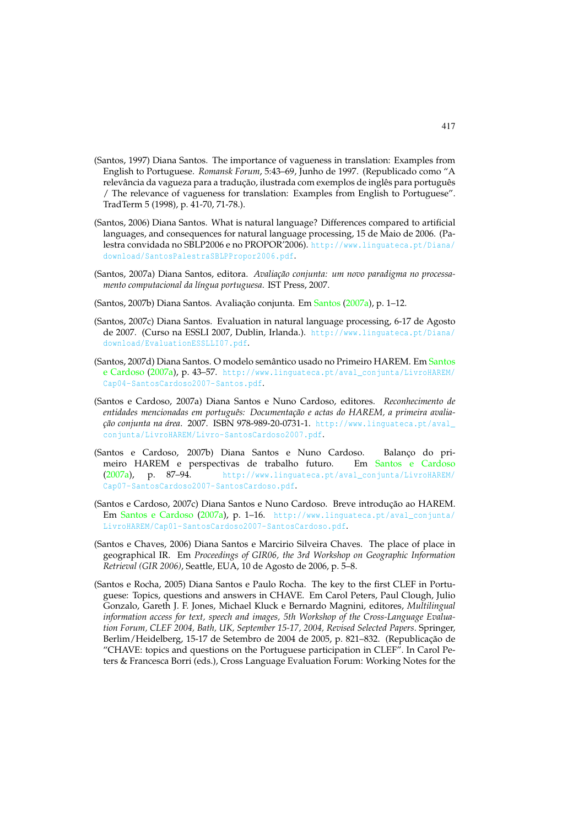- (Santos, 1997) Diana Santos. The importance of vagueness in translation: Examples from English to Portuguese. *Romansk Forum*, 5:43–69, Junho de 1997. (Republicado como "A relevância da vagueza para a tradução, ilustrada com exemplos de inglês para português / The relevance of vagueness for translation: Examples from English to Portuguese". TradTerm 5 (1998), p. 41-70, 71-78.).
- (Santos, 2006) Diana Santos. What is natural language? Differences compared to artificial languages, and consequences for natural language processing, 15 de Maio de 2006. (Palestra convidada no SBLP2006 e no PROPOR'2006). http://www.linguateca.pt/Diana/ download/SantosPalestraSBLPPropor2006.pdf.
- (Santos, 2007a) Diana Santos, editora. *Avaliação conjunta: um novo paradigma no processamento computacional da língua portuguesa*. IST Press, 2007.
- (Santos, 2007b) Diana Santos. Avaliação conjunta. Em Santos (2007a), p. 1–12.
- (Santos, 2007c) Diana Santos. Evaluation in natural language processing, 6-17 de Agosto de 2007. (Curso na ESSLI 2007, Dublin, Irlanda.). http://www.linguateca.pt/Diana/ download/EvaluationESSLLI07.pdf.
- (Santos, 2007d) Diana Santos. O modelo semântico usado no Primeiro HAREM. Em Santos e Cardoso (2007a), p. 43-57. http://www.linguateca.pt/aval\_conjunta/LivroHAREM/ Cap04-SantosCardoso2007-Santos.pdf.
- (Santos e Cardoso, 2007a) Diana Santos e Nuno Cardoso, editores. *Reconhecimento de entidades mencionadas em português: Documentação e actas do HAREM, a primeira avaliação conjunta na área*. 2007. ISBN 978-989-20-0731-1. http://www.linguateca.pt/aval\_ conjunta/LivroHAREM/Livro-SantosCardoso2007.pdf.
- (Santos e Cardoso, 2007b) Diana Santos e Nuno Cardoso. Balanço do primeiro HAREM e perspectivas de trabalho futuro. Em Santos e Cardoso (2007a), p. 87–94. http://www.linguateca.pt/aval\_conjunta/LivroHAREM/ Cap07-SantosCardoso2007-SantosCardoso.pdf.
- (Santos e Cardoso, 2007c) Diana Santos e Nuno Cardoso. Breve introdução ao HAREM. Em Santos e Cardoso (2007a), p. 1–16. http://www.linguateca.pt/aval\_conjunta/ LivroHAREM/Cap01-SantosCardoso2007-SantosCardoso.pdf.
- (Santos e Chaves, 2006) Diana Santos e Marcirio Silveira Chaves. The place of place in geographical IR. Em *Proceedings of GIR06, the 3rd Workshop on Geographic Information Retrieval (GIR 2006)*, Seattle, EUA, 10 de Agosto de 2006, p. 5–8.
- (Santos e Rocha, 2005) Diana Santos e Paulo Rocha. The key to the first CLEF in Portuguese: Topics, questions and answers in CHAVE. Em Carol Peters, Paul Clough, Julio Gonzalo, Gareth J. F. Jones, Michael Kluck e Bernardo Magnini, editores, *Multilingual information access for text, speech and images, 5th Workshop of the Cross-Language Evaluation Forum, CLEF 2004, Bath, UK, September 15-17, 2004, Revised Selected Papers*. Springer, Berlim/Heidelberg, 15-17 de Setembro de 2004 de 2005, p. 821–832. (Republicação de "CHAVE: topics and questions on the Portuguese participation in CLEF". In Carol Peters & Francesca Borri (eds.), Cross Language Evaluation Forum: Working Notes for the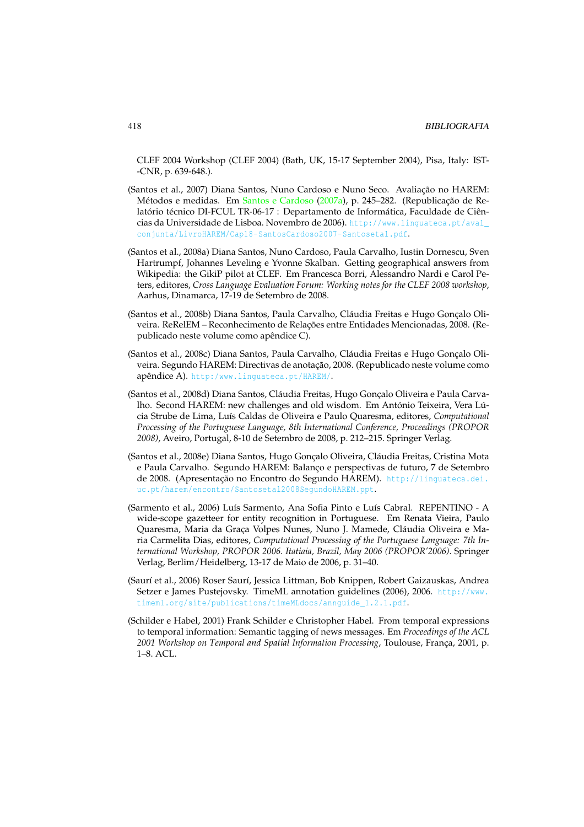CLEF 2004 Workshop (CLEF 2004) (Bath, UK, 15-17 September 2004), Pisa, Italy: IST- -CNR, p. 639-648.).

- (Santos et al., 2007) Diana Santos, Nuno Cardoso e Nuno Seco. Avaliação no HAREM: Métodos e medidas. Em Santos e Cardoso (2007a), p. 245–282. (Republicação de Relatório técnico DI-FCUL TR-06-17 : Departamento de Informática, Faculdade de Ciências da Universidade de Lisboa. Novembro de 2006). http://www.linguateca.pt/aval\_ conjunta/LivroHAREM/Cap18-SantosCardoso2007-Santosetal.pdf.
- (Santos et al., 2008a) Diana Santos, Nuno Cardoso, Paula Carvalho, Iustin Dornescu, Sven Hartrumpf, Johannes Leveling e Yvonne Skalban. Getting geographical answers from Wikipedia: the GikiP pilot at CLEF. Em Francesca Borri, Alessandro Nardi e Carol Peters, editores, *Cross Language Evaluation Forum: Working notes for the CLEF 2008 workshop*, Aarhus, Dinamarca, 17-19 de Setembro de 2008.
- (Santos et al., 2008b) Diana Santos, Paula Carvalho, Cláudia Freitas e Hugo Gonçalo Oliveira. ReRelEM – Reconhecimento de Relações entre Entidades Mencionadas, 2008. (Republicado neste volume como apêndice C).
- (Santos et al., 2008c) Diana Santos, Paula Carvalho, Cláudia Freitas e Hugo Gonçalo Oliveira. Segundo HAREM: Directivas de anotação, 2008. (Republicado neste volume como apêndice A). http:/www.linguateca.pt/HAREM/.
- (Santos et al., 2008d) Diana Santos, Cláudia Freitas, Hugo Gonçalo Oliveira e Paula Carvalho. Second HAREM: new challenges and old wisdom. Em António Teixeira, Vera Lúcia Strube de Lima, Luís Caldas de Oliveira e Paulo Quaresma, editores, *Computational Processing of the Portuguese Language, 8th International Conference, Proceedings (PROPOR 2008)*, Aveiro, Portugal, 8-10 de Setembro de 2008, p. 212–215. Springer Verlag.
- (Santos et al., 2008e) Diana Santos, Hugo Gonçalo Oliveira, Cláudia Freitas, Cristina Mota e Paula Carvalho. Segundo HAREM: Balanço e perspectivas de futuro, 7 de Setembro de 2008. (Apresentação no Encontro do Segundo HAREM). http://linguateca.dei. uc.pt/harem/encontro/Santosetal2008SegundoHAREM.ppt.
- (Sarmento et al., 2006) Luís Sarmento, Ana Sofia Pinto e Luís Cabral. REPENTINO A wide-scope gazetteer for entity recognition in Portuguese. Em Renata Vieira, Paulo Quaresma, Maria da Graça Volpes Nunes, Nuno J. Mamede, Cláudia Oliveira e Maria Carmelita Dias, editores, *Computational Processing of the Portuguese Language: 7th International Workshop, PROPOR 2006. Itatiaia, Brazil, May 2006 (PROPOR'2006)*. Springer Verlag, Berlim/Heidelberg, 13-17 de Maio de 2006, p. 31–40.
- (Saurí et al., 2006) Roser Saurí, Jessica Littman, Bob Knippen, Robert Gaizauskas, Andrea Setzer e James Pustejovsky. TimeML annotation guidelines (2006), 2006. http://www. timeml.org/site/publications/timeMLdocs/annguide\_1.2.1.pdf.
- (Schilder e Habel, 2001) Frank Schilder e Christopher Habel. From temporal expressions to temporal information: Semantic tagging of news messages. Em *Proceedings of the ACL 2001 Workshop on Temporal and Spatial Information Processing*, Toulouse, França, 2001, p. 1–8. ACL.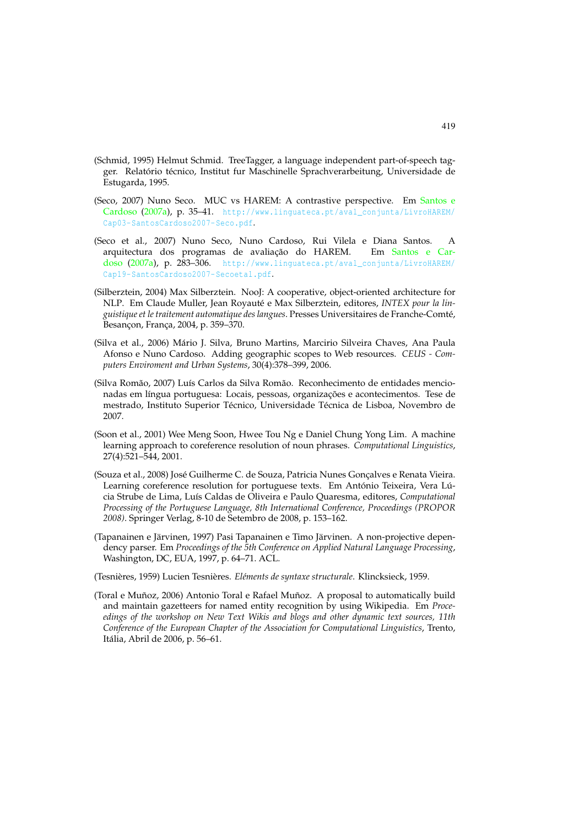- (Schmid, 1995) Helmut Schmid. TreeTagger, a language independent part-of-speech tagger. Relatório técnico, Institut fur Maschinelle Sprachverarbeitung, Universidade de Estugarda, 1995.
- (Seco, 2007) Nuno Seco. MUC vs HAREM: A contrastive perspective. Em Santos e Cardoso (2007a), p. 35-41. http://www.linguateca.pt/aval\_conjunta/LivroHAREM/ Cap03-SantosCardoso2007-Seco.pdf.
- (Seco et al., 2007) Nuno Seco, Nuno Cardoso, Rui Vilela e Diana Santos. A arquitectura dos programas de avaliação do HAREM. Em Santos e Cardoso (2007a), p. 283-306. http://www.linguateca.pt/aval\_conjunta/LivroHAREM/ Cap19-SantosCardoso2007-Secoetal.pdf.
- (Silberztein, 2004) Max Silberztein. NooJ: A cooperative, object-oriented architecture for NLP. Em Claude Muller, Jean Royauté e Max Silberztein, editores, *INTEX pour la linguistique et le traitement automatique des langues*. Presses Universitaires de Franche-Comté, Besançon, França, 2004, p. 359–370.
- (Silva et al., 2006) Mário J. Silva, Bruno Martins, Marcirio Silveira Chaves, Ana Paula Afonso e Nuno Cardoso. Adding geographic scopes to Web resources. *CEUS - Computers Enviroment and Urban Systems*, 30(4):378–399, 2006.
- (Silva Romão, 2007) Luís Carlos da Silva Romão. Reconhecimento de entidades mencionadas em língua portuguesa: Locais, pessoas, organizações e acontecimentos. Tese de mestrado, Instituto Superior Técnico, Universidade Técnica de Lisboa, Novembro de 2007.
- (Soon et al., 2001) Wee Meng Soon, Hwee Tou Ng e Daniel Chung Yong Lim. A machine learning approach to coreference resolution of noun phrases. *Computational Linguistics*, 27(4):521–544, 2001.
- (Souza et al., 2008) José Guilherme C. de Souza, Patricia Nunes Gonçalves e Renata Vieira. Learning coreference resolution for portuguese texts. Em António Teixeira, Vera Lúcia Strube de Lima, Luís Caldas de Oliveira e Paulo Quaresma, editores, *Computational Processing of the Portuguese Language, 8th International Conference, Proceedings (PROPOR 2008)*. Springer Verlag, 8-10 de Setembro de 2008, p. 153–162.
- (Tapanainen e Järvinen, 1997) Pasi Tapanainen e Timo Järvinen. A non-projective dependency parser. Em *Proceedings of the 5th Conference on Applied Natural Language Processing*, Washington, DC, EUA, 1997, p. 64–71. ACL.
- (Tesnières, 1959) Lucien Tesnières. *Eléments de syntaxe structurale*. Klincksieck, 1959.
- (Toral e Muñoz, 2006) Antonio Toral e Rafael Muñoz. A proposal to automatically build and maintain gazetteers for named entity recognition by using Wikipedia. Em *Proceedings of the workshop on New Text Wikis and blogs and other dynamic text sources, 11th Conference of the European Chapter of the Association for Computational Linguistics*, Trento, Itália, Abril de 2006, p. 56–61.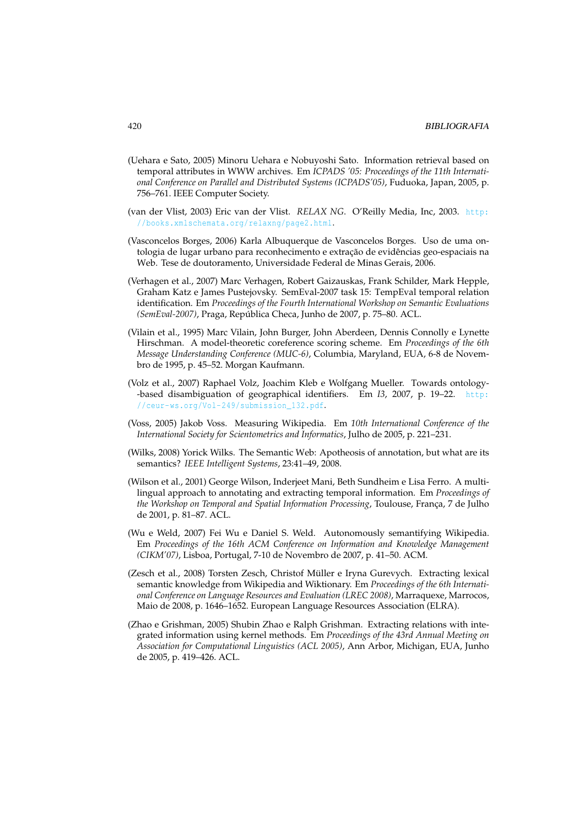- (Uehara e Sato, 2005) Minoru Uehara e Nobuyoshi Sato. Information retrieval based on temporal attributes in WWW archives. Em *ICPADS '05: Proceedings of the 11th International Conference on Parallel and Distributed Systems (ICPADS'05)*, Fuduoka, Japan, 2005, p. 756–761. IEEE Computer Society.
- (van der Vlist, 2003) Eric van der Vlist. *RELAX NG*. O'Reilly Media, Inc, 2003. http: //books.xmlschemata.org/relaxng/page2.html.
- (Vasconcelos Borges, 2006) Karla Albuquerque de Vasconcelos Borges. Uso de uma ontologia de lugar urbano para reconhecimento e extração de evidências geo-espaciais na Web. Tese de doutoramento, Universidade Federal de Minas Gerais, 2006.
- (Verhagen et al., 2007) Marc Verhagen, Robert Gaizauskas, Frank Schilder, Mark Hepple, Graham Katz e James Pustejovsky. SemEval-2007 task 15: TempEval temporal relation identification. Em *Proceedings of the Fourth International Workshop on Semantic Evaluations (SemEval-2007)*, Praga, República Checa, Junho de 2007, p. 75–80. ACL.
- (Vilain et al., 1995) Marc Vilain, John Burger, John Aberdeen, Dennis Connolly e Lynette Hirschman. A model-theoretic coreference scoring scheme. Em *Proceedings of the 6th Message Understanding Conference (MUC-6)*, Columbia, Maryland, EUA, 6-8 de Novembro de 1995, p. 45–52. Morgan Kaufmann.
- (Volz et al., 2007) Raphael Volz, Joachim Kleb e Wolfgang Mueller. Towards ontology- -based disambiguation of geographical identifiers. Em *I3*, 2007, p. 19–22. http: //ceur-ws.org/Vol-249/submission\_132.pdf.
- (Voss, 2005) Jakob Voss. Measuring Wikipedia. Em *10th International Conference of the International Society for Scientometrics and Informatics*, Julho de 2005, p. 221–231.
- (Wilks, 2008) Yorick Wilks. The Semantic Web: Apotheosis of annotation, but what are its semantics? *IEEE Intelligent Systems*, 23:41–49, 2008.
- (Wilson et al., 2001) George Wilson, Inderjeet Mani, Beth Sundheim e Lisa Ferro. A multilingual approach to annotating and extracting temporal information. Em *Proceedings of the Workshop on Temporal and Spatial Information Processing*, Toulouse, França, 7 de Julho de 2001, p. 81–87. ACL.
- (Wu e Weld, 2007) Fei Wu e Daniel S. Weld. Autonomously semantifying Wikipedia. Em *Proceedings of the 16th ACM Conference on Information and Knowledge Management (CIKM'07)*, Lisboa, Portugal, 7-10 de Novembro de 2007, p. 41–50. ACM.
- (Zesch et al., 2008) Torsten Zesch, Christof Müller e Iryna Gurevych. Extracting lexical semantic knowledge from Wikipedia and Wiktionary. Em *Proceedings of the 6th International Conference on Language Resources and Evaluation (LREC 2008)*, Marraquexe, Marrocos, Maio de 2008, p. 1646–1652. European Language Resources Association (ELRA).
- (Zhao e Grishman, 2005) Shubin Zhao e Ralph Grishman. Extracting relations with integrated information using kernel methods. Em *Proceedings of the 43rd Annual Meeting on Association for Computational Linguistics (ACL 2005)*, Ann Arbor, Michigan, EUA, Junho de 2005, p. 419–426. ACL.